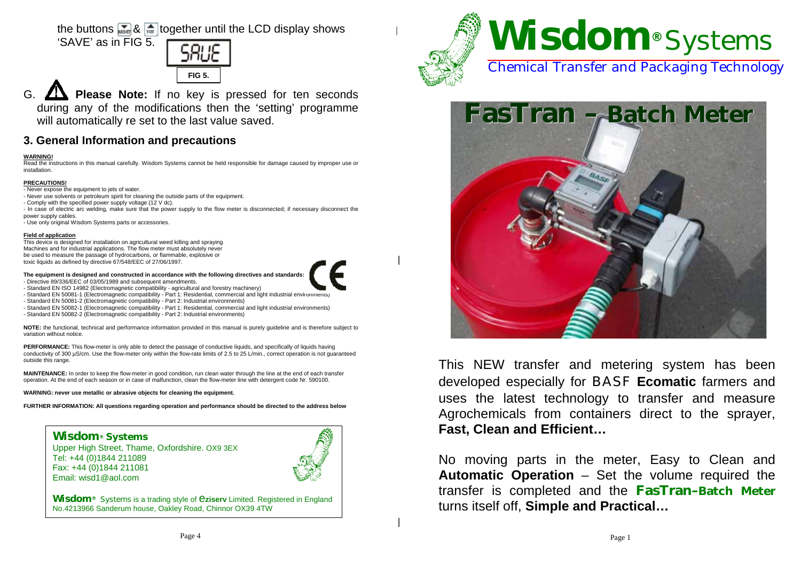the buttons  $\mathbb{Z}_2 \& \mathbb{R}$  together until the LCD display shows



G. **Please Note:** If no key is pressed for ten seconds during any of the modifications then the 'setting' programme will automatically re set to the last value saved.

## **3. General Information and precautions**

## **WARNING!**

 Read the instructions in this manual carefully. Wisdom Systems cannot be held responsible for damage caused by improper use or installation.

## **PRECAUTIONS!**

- Never expose the equipment to jets of water.

- Never use solvents or petroleum spirit for cleaning the outside parts of the equipment.

- Comply with the specified power supply voltage (12 V dc).

- In case of electric arc welding, make sure that the power supply to the flow meter is disconnected; if necessary disconnect the power supply cables.

- Use only original Wisdom Systems parts or accessories.

#### **Field of application**

This device is designed for installation on agricultural weed killing and spraying Machines and for industrial applications. The flow meter must absolutely never be used to measure the passage of hydrocarbons, or flammable, explosive or toxic liquids as defined by directive 67/548/EEC of 27/06/1997.

#### **The equipment is designed and constructed in accordance with the following directives and standards:**

- Directive 89/336/EEC of 03/05/1989 and subsequent amendments.

- Standard EN ISO 14982 (Electromagnetic compatibility agricultural and forestry machinery)
- Standard EN 50081-1 (Electromagnetic compatibility Part 1: Residential, commercial and light industrial environments)
- Standard EN 50081-2 (Electromagnetic compatibility Part 2: Industrial environments)
- Standard EN 50082-1 (Electromagnetic compatibility Part 1: Residential, commercial and light industrial environments)

- Standard EN 50082-2 (Electromagnetic compatibility - Part 2: Industrial environments)

**NOTE:** the functional, technical and performance information provided in this manual is purely guideline and is therefore subject to variation without notice.

**PERFORMANCE:** This flow-meter is only able to detect the passage of conductive liquids, and specifically of liquids having conductivity of 300 µS/cm. Use the flow-meter only within the flow-rate limits of 2.5 to 25 L/min., correct operation is not guaranteed outside this range.

**MAINTENANCE:** In order to keep the flow-meter in good condition, run clean water through the line at the end of each transfer operation. At the end of each season or in case of malfunction, clean the flow-meter line with detergent code Nr. 590100.

**WARNING: never use metallic or abrasive objects for cleaning the equipment.** 

**FURTHER INFORMATION: All questions regarding operation and performance should be directed to the address below**

## **Wisdom® Systems**

Upper High Street, Thame, Oxfordshire. OX9 3EX Tel: +44 (0)1844 211089 Fax: +44 (0)1844 211081 Email: wisd1@aol.com

**Wisdom**<sup>®</sup> Systems is a trading style of **Cziserv** Limited. Registered in England No.4213966 Sanderum house, Oakley Road, Chinnor OX39 4TW



|

|

|

# **Wisdom®** Systems

Chemical Transfer and Packaging Technology



This NEW transfer and metering system has been developed especially for BASF **Ecomatic** farmers and uses the latest technology to transfer and measure Agrochemicals from containers direct to the sprayer, **Fast, Clean and Efficient…** 

No moving parts in the meter, Easy to Clean and **Automatic Operation** – Set the volume required the transfer is completed and the **FasTran–Batch Meter** turns itself off, **Simple and Practical…**